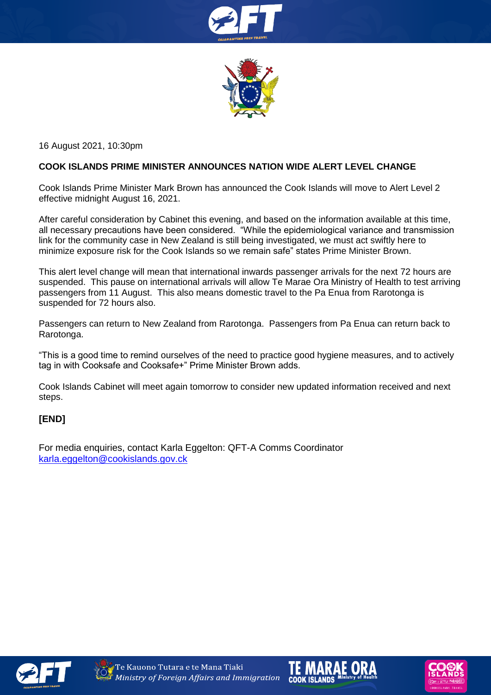



16 August 2021, 10:30pm

## **COOK ISLANDS PRIME MINISTER ANNOUNCES NATION WIDE ALERT LEVEL CHANGE**

Cook Islands Prime Minister Mark Brown has announced the Cook Islands will move to Alert Level 2 effective midnight August 16, 2021.

After careful consideration by Cabinet this evening, and based on the information available at this time, all necessary precautions have been considered. "While the epidemiological variance and transmission link for the community case in New Zealand is still being investigated, we must act swiftly here to minimize exposure risk for the Cook Islands so we remain safe" states Prime Minister Brown.

This alert level change will mean that international inwards passenger arrivals for the next 72 hours are suspended. This pause on international arrivals will allow Te Marae Ora Ministry of Health to test arriving passengers from 11 August. This also means domestic travel to the Pa Enua from Rarotonga is suspended for 72 hours also.

Passengers can return to New Zealand from Rarotonga. Passengers from Pa Enua can return back to Rarotonga.

"This is a good time to remind ourselves of the need to practice good hygiene measures, and to actively tag in with Cooksafe and Cooksafe+" Prime Minister Brown adds.

Cook Islands Cabinet will meet again tomorrow to consider new updated information received and next steps.

## **[END]**

For media enquiries, contact Karla Eggelton: QFT-A Comms Coordinator [karla.eggelton@cookislands.gov.ck](mailto:karla.eggelton@cookislands.gov.ck)